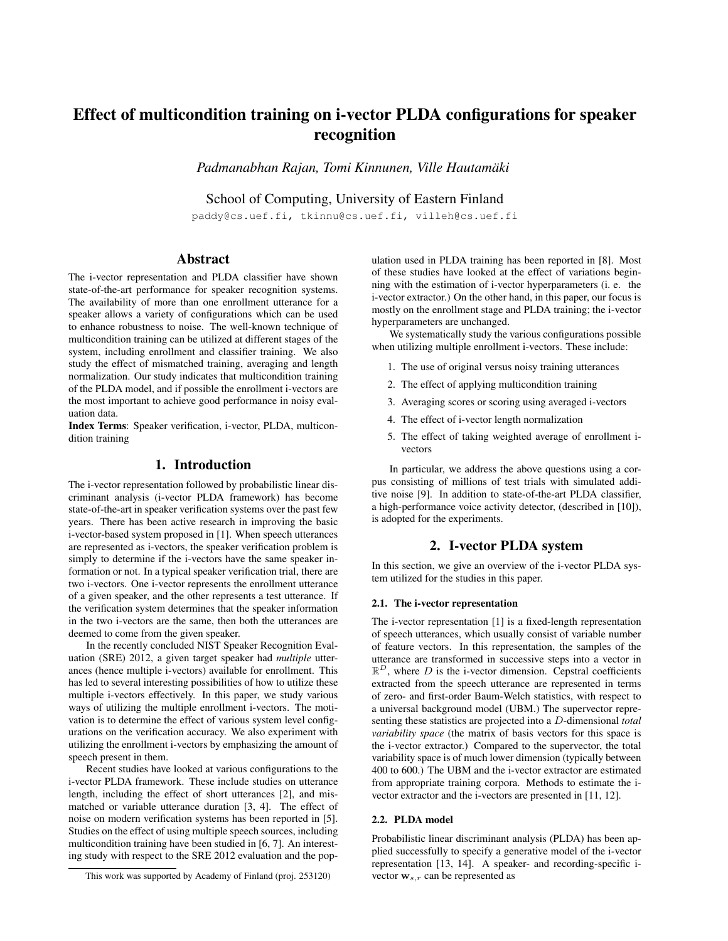# Effect of multicondition training on i-vector PLDA configurations for speaker recognition

*Padmanabhan Rajan, Tomi Kinnunen, Ville Hautamaki ¨*

School of Computing, University of Eastern Finland

paddy@cs.uef.fi, tkinnu@cs.uef.fi, villeh@cs.uef.fi

# Abstract

The i-vector representation and PLDA classifier have shown state-of-the-art performance for speaker recognition systems. The availability of more than one enrollment utterance for a speaker allows a variety of configurations which can be used to enhance robustness to noise. The well-known technique of multicondition training can be utilized at different stages of the system, including enrollment and classifier training. We also study the effect of mismatched training, averaging and length normalization. Our study indicates that multicondition training of the PLDA model, and if possible the enrollment i-vectors are the most important to achieve good performance in noisy evaluation data.

Index Terms: Speaker verification, i-vector, PLDA, multicondition training

# 1. Introduction

The i-vector representation followed by probabilistic linear discriminant analysis (i-vector PLDA framework) has become state-of-the-art in speaker verification systems over the past few years. There has been active research in improving the basic i-vector-based system proposed in [1]. When speech utterances are represented as i-vectors, the speaker verification problem is simply to determine if the i-vectors have the same speaker information or not. In a typical speaker verification trial, there are two i-vectors. One i-vector represents the enrollment utterance of a given speaker, and the other represents a test utterance. If the verification system determines that the speaker information in the two i-vectors are the same, then both the utterances are deemed to come from the given speaker.

In the recently concluded NIST Speaker Recognition Evaluation (SRE) 2012, a given target speaker had *multiple* utterances (hence multiple i-vectors) available for enrollment. This has led to several interesting possibilities of how to utilize these multiple i-vectors effectively. In this paper, we study various ways of utilizing the multiple enrollment i-vectors. The motivation is to determine the effect of various system level configurations on the verification accuracy. We also experiment with utilizing the enrollment i-vectors by emphasizing the amount of speech present in them.

Recent studies have looked at various configurations to the i-vector PLDA framework. These include studies on utterance length, including the effect of short utterances [2], and mismatched or variable utterance duration [3, 4]. The effect of noise on modern verification systems has been reported in [5]. Studies on the effect of using multiple speech sources, including multicondition training have been studied in [6, 7]. An interesting study with respect to the SRE 2012 evaluation and the population used in PLDA training has been reported in [8]. Most of these studies have looked at the effect of variations beginning with the estimation of i-vector hyperparameters (i. e. the i-vector extractor.) On the other hand, in this paper, our focus is mostly on the enrollment stage and PLDA training; the i-vector hyperparameters are unchanged.

We systematically study the various configurations possible when utilizing multiple enrollment i-vectors. These include:

- 1. The use of original versus noisy training utterances
- 2. The effect of applying multicondition training
- 3. Averaging scores or scoring using averaged i-vectors
- 4. The effect of i-vector length normalization
- 5. The effect of taking weighted average of enrollment ivectors

In particular, we address the above questions using a corpus consisting of millions of test trials with simulated additive noise [9]. In addition to state-of-the-art PLDA classifier, a high-performance voice activity detector, (described in [10]), is adopted for the experiments.

## 2. I-vector PLDA system

In this section, we give an overview of the i-vector PLDA system utilized for the studies in this paper.

### 2.1. The i-vector representation

The i-vector representation [1] is a fixed-length representation of speech utterances, which usually consist of variable number of feature vectors. In this representation, the samples of the utterance are transformed in successive steps into a vector in  $\mathbb{R}^D$ , where D is the i-vector dimension. Cepstral coefficients extracted from the speech utterance are represented in terms of zero- and first-order Baum-Welch statistics, with respect to a universal background model (UBM.) The supervector representing these statistics are projected into a D-dimensional *total variability space* (the matrix of basis vectors for this space is the i-vector extractor.) Compared to the supervector, the total variability space is of much lower dimension (typically between 400 to 600.) The UBM and the i-vector extractor are estimated from appropriate training corpora. Methods to estimate the ivector extractor and the i-vectors are presented in [11, 12].

#### 2.2. PLDA model

Probabilistic linear discriminant analysis (PLDA) has been applied successfully to specify a generative model of the i-vector representation [13, 14]. A speaker- and recording-specific ivector  $\mathbf{w}_{s,r}$  can be represented as

This work was supported by Academy of Finland (proj. 253120)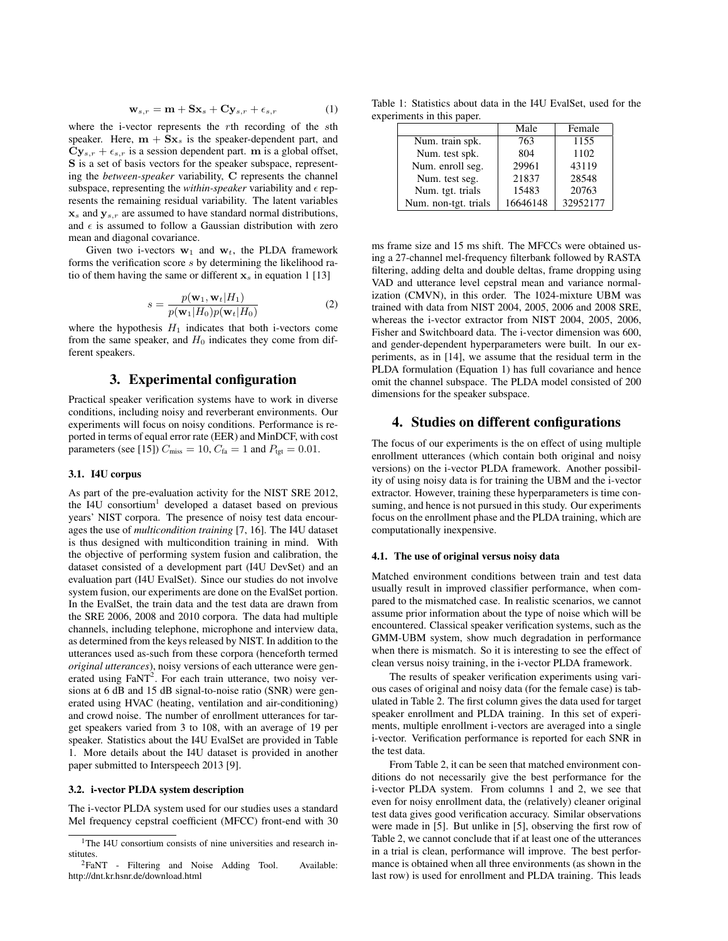$$
\mathbf{w}_{s,r} = \mathbf{m} + \mathbf{S}\mathbf{x}_s + \mathbf{C}\mathbf{y}_{s,r} + \epsilon_{s,r} \tag{1}
$$

where the i-vector represents the rth recording of the sth speaker. Here,  $m + Sx_s$  is the speaker-dependent part, and  $\mathbf{C} \mathbf{y}_{s,r} + \epsilon_{s,r}$  is a session dependent part. m is a global offset, S is a set of basis vectors for the speaker subspace, representing the *between-speaker* variability, C represents the channel subspace, representing the *within-speaker* variability and  $\epsilon$  represents the remaining residual variability. The latent variables  $x_s$  and  $y_{s,r}$  are assumed to have standard normal distributions, and  $\epsilon$  is assumed to follow a Gaussian distribution with zero mean and diagonal covariance.

Given two i-vectors  $w_1$  and  $w_t$ , the PLDA framework forms the verification score s by determining the likelihood ratio of them having the same or different  $x_s$  in equation 1 [13]

$$
s = \frac{p(\mathbf{w}_1, \mathbf{w}_t | H_1)}{p(\mathbf{w}_1 | H_0) p(\mathbf{w}_t | H_0)}
$$
(2)

where the hypothesis  $H_1$  indicates that both i-vectors come from the same speaker, and  $H_0$  indicates they come from different speakers.

## 3. Experimental configuration

Practical speaker verification systems have to work in diverse conditions, including noisy and reverberant environments. Our experiments will focus on noisy conditions. Performance is reported in terms of equal error rate (EER) and MinDCF, with cost parameters (see [15])  $C_{\text{miss}} = 10$ ,  $C_{\text{fa}} = 1$  and  $P_{\text{tgt}} = 0.01$ .

#### 3.1. I4U corpus

As part of the pre-evaluation activity for the NIST SRE 2012, the I4U consortium<sup>1</sup> developed a dataset based on previous years' NIST corpora. The presence of noisy test data encourages the use of *multicondition training* [7, 16]. The I4U dataset is thus designed with multicondition training in mind. With the objective of performing system fusion and calibration, the dataset consisted of a development part (I4U DevSet) and an evaluation part (I4U EvalSet). Since our studies do not involve system fusion, our experiments are done on the EvalSet portion. In the EvalSet, the train data and the test data are drawn from the SRE 2006, 2008 and 2010 corpora. The data had multiple channels, including telephone, microphone and interview data, as determined from the keys released by NIST. In addition to the utterances used as-such from these corpora (henceforth termed *original utterances*), noisy versions of each utterance were generated using  $FaNT^2$ . For each train utterance, two noisy versions at 6 dB and 15 dB signal-to-noise ratio (SNR) were generated using HVAC (heating, ventilation and air-conditioning) and crowd noise. The number of enrollment utterances for target speakers varied from 3 to 108, with an average of 19 per speaker. Statistics about the I4U EvalSet are provided in Table 1. More details about the I4U dataset is provided in another paper submitted to Interspeech 2013 [9].

#### 3.2. i-vector PLDA system description

The i-vector PLDA system used for our studies uses a standard Mel frequency cepstral coefficient (MFCC) front-end with 30

Table 1: Statistics about data in the I4U EvalSet, used for the experiments in this paper.

|                      | Male     | Female   |
|----------------------|----------|----------|
| Num. train spk.      | 763      | 1155     |
| Num. test spk.       | 804      | 1102     |
| Num. enroll seg.     | 29961    | 43119    |
| Num. test seg.       | 21837    | 28548    |
| Num. tgt. trials     | 15483    | 20763    |
| Num. non-tgt. trials | 16646148 | 32952177 |

ms frame size and 15 ms shift. The MFCCs were obtained using a 27-channel mel-frequency filterbank followed by RASTA filtering, adding delta and double deltas, frame dropping using VAD and utterance level cepstral mean and variance normalization (CMVN), in this order. The 1024-mixture UBM was trained with data from NIST 2004, 2005, 2006 and 2008 SRE, whereas the i-vector extractor from NIST 2004, 2005, 2006, Fisher and Switchboard data. The i-vector dimension was 600, and gender-dependent hyperparameters were built. In our experiments, as in [14], we assume that the residual term in the PLDA formulation (Equation 1) has full covariance and hence omit the channel subspace. The PLDA model consisted of 200 dimensions for the speaker subspace.

## 4. Studies on different configurations

The focus of our experiments is the on effect of using multiple enrollment utterances (which contain both original and noisy versions) on the i-vector PLDA framework. Another possibility of using noisy data is for training the UBM and the i-vector extractor. However, training these hyperparameters is time consuming, and hence is not pursued in this study. Our experiments focus on the enrollment phase and the PLDA training, which are computationally inexpensive.

#### 4.1. The use of original versus noisy data

Matched environment conditions between train and test data usually result in improved classifier performance, when compared to the mismatched case. In realistic scenarios, we cannot assume prior information about the type of noise which will be encountered. Classical speaker verification systems, such as the GMM-UBM system, show much degradation in performance when there is mismatch. So it is interesting to see the effect of clean versus noisy training, in the i-vector PLDA framework.

The results of speaker verification experiments using various cases of original and noisy data (for the female case) is tabulated in Table 2. The first column gives the data used for target speaker enrollment and PLDA training. In this set of experiments, multiple enrollment i-vectors are averaged into a single i-vector. Verification performance is reported for each SNR in the test data.

From Table 2, it can be seen that matched environment conditions do not necessarily give the best performance for the i-vector PLDA system. From columns 1 and 2, we see that even for noisy enrollment data, the (relatively) cleaner original test data gives good verification accuracy. Similar observations were made in [5]. But unlike in [5], observing the first row of Table 2, we cannot conclude that if at least one of the utterances in a trial is clean, performance will improve. The best performance is obtained when all three environments (as shown in the last row) is used for enrollment and PLDA training. This leads

<sup>1</sup>The I4U consortium consists of nine universities and research institutes.

<sup>&</sup>lt;sup>2</sup>FaNT - Filtering and Noise Adding Tool. Available: http://dnt.kr.hsnr.de/download.html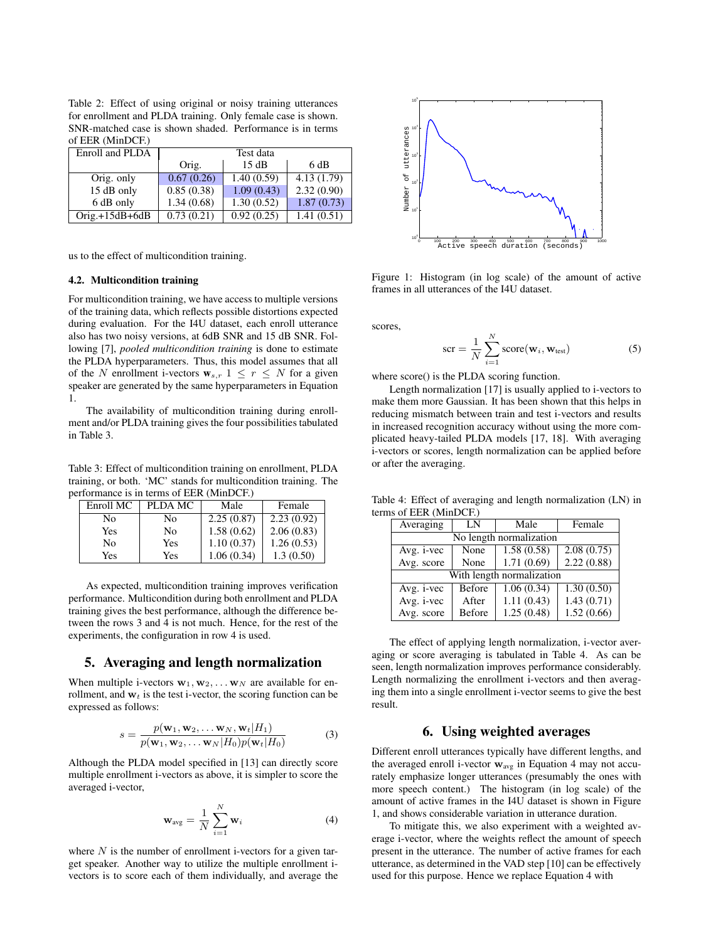Table 2: Effect of using original or noisy training utterances for enrollment and PLDA training. Only female case is shown. SNR-matched case is shown shaded. Performance is in terms of EER (MinDCF.)

| Enroll and PLDA   | Test data  |            |            |
|-------------------|------------|------------|------------|
|                   | Orig.      | 15dB       | 6 dB       |
| Orig. only        | 0.67(0.26) | 1.40(0.59) | 4.13(1.79) |
| 15 dB only        | 0.85(0.38) | 1.09(0.43) | 2.32(0.90) |
| 6 dB only         | 1.34(0.68) | 1.30(0.52) | 1.87(0.73) |
| $O$ rig.+15dB+6dB | 0.73(0.21) | 0.92(0.25) | 1.41(0.51) |

us to the effect of multicondition training.

#### 4.2. Multicondition training

For multicondition training, we have access to multiple versions of the training data, which reflects possible distortions expected during evaluation. For the I4U dataset, each enroll utterance also has two noisy versions, at 6dB SNR and 15 dB SNR. Following [7], *pooled multicondition training* is done to estimate the PLDA hyperparameters. Thus, this model assumes that all of the N enrollment i-vectors  $\mathbf{w}_{s,r}$   $1 \leq r \leq N$  for a given speaker are generated by the same hyperparameters in Equation 1.

The availability of multicondition training during enrollment and/or PLDA training gives the four possibilities tabulated in Table 3.

Table 3: Effect of multicondition training on enrollment, PLDA training, or both. 'MC' stands for multicondition training. The performance is in terms of EER (MinDCF.)

| Enroll MC | PLDA MC        | Male       | Female     |
|-----------|----------------|------------|------------|
| No        | No             | 2.25(0.87) | 2.23(0.92) |
| Yes       | N <sub>0</sub> | 1.58(0.62) | 2.06(0.83) |
| No        | Yes            | 1.10(0.37) | 1.26(0.53) |
| Yes       | Yes            | 1.06(0.34) | 1.3(0.50)  |

As expected, multicondition training improves verification performance. Multicondition during both enrollment and PLDA training gives the best performance, although the difference between the rows 3 and 4 is not much. Hence, for the rest of the experiments, the configuration in row 4 is used.

## 5. Averaging and length normalization

When multiple i-vectors  $w_1, w_2, \dots w_N$  are available for enrollment, and  $w_t$  is the test i-vector, the scoring function can be expressed as follows:

$$
s = \frac{p(\mathbf{w}_1, \mathbf{w}_2, \dots \mathbf{w}_N, \mathbf{w}_t | H_1)}{p(\mathbf{w}_1, \mathbf{w}_2, \dots \mathbf{w}_N | H_0) p(\mathbf{w}_t | H_0)}
$$
(3)

Although the PLDA model specified in [13] can directly score multiple enrollment i-vectors as above, it is simpler to score the averaged i-vector,

$$
\mathbf{w}_{\text{avg}} = \frac{1}{N} \sum_{i=1}^{N} \mathbf{w}_i
$$
 (4)

where  $N$  is the number of enrollment i-vectors for a given target speaker. Another way to utilize the multiple enrollment ivectors is to score each of them individually, and average the



Figure 1: Histogram (in log scale) of the amount of active frames in all utterances of the I4U dataset.

scores,

$$
\text{scr} = \frac{1}{N} \sum_{i=1}^{N} \text{score}(\mathbf{w}_i, \mathbf{w}_{\text{test}}) \tag{5}
$$

where score() is the PLDA scoring function.

Length normalization [17] is usually applied to i-vectors to make them more Gaussian. It has been shown that this helps in reducing mismatch between train and test i-vectors and results in increased recognition accuracy without using the more complicated heavy-tailed PLDA models [17, 18]. With averaging i-vectors or scores, length normalization can be applied before or after the averaging.

Table 4: Effect of averaging and length normalization (LN) in terms of EER (MinDCF.)

| Averaging                 | LN            | Male       | Female     |
|---------------------------|---------------|------------|------------|
| No length normalization   |               |            |            |
| Avg. <i>i</i> -vec        | None          | 1.58(0.58) | 2.08(0.75) |
| Avg. score                | None          | 1.71(0.69) | 2.22(0.88) |
| With length normalization |               |            |            |
| Avg. i-vec                | Before        | 1.06(0.34) | 1.30(0.50) |
| Avg. i-vec                | After         | 1.11(0.43) | 1.43(0.71) |
| Avg. score                | <b>Before</b> | 1.25(0.48) | 1.52(0.66) |

The effect of applying length normalization, i-vector averaging or score averaging is tabulated in Table 4. As can be seen, length normalization improves performance considerably. Length normalizing the enrollment i-vectors and then averaging them into a single enrollment i-vector seems to give the best result.

# 6. Using weighted averages

Different enroll utterances typically have different lengths, and the averaged enroll i-vector  $w_{avg}$  in Equation 4 may not accurately emphasize longer utterances (presumably the ones with more speech content.) The histogram (in log scale) of the amount of active frames in the I4U dataset is shown in Figure 1, and shows considerable variation in utterance duration.

To mitigate this, we also experiment with a weighted average i-vector, where the weights reflect the amount of speech present in the utterance. The number of active frames for each utterance, as determined in the VAD step [10] can be effectively used for this purpose. Hence we replace Equation 4 with